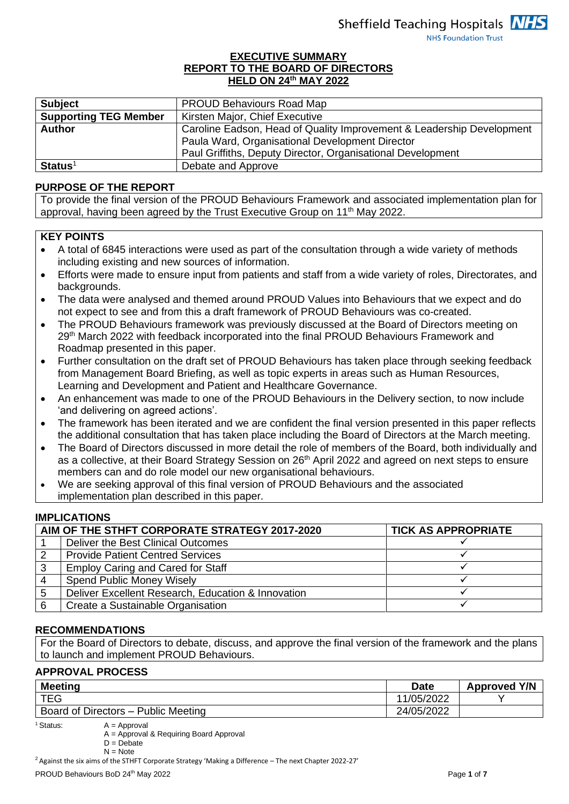## **EXECUTIVE SUMMARY REPORT TO THE BOARD OF DIRECTORS HELD ON 24th MAY 2022**

| <b>Subject</b>               | <b>PROUD Behaviours Road Map</b>                                      |
|------------------------------|-----------------------------------------------------------------------|
| <b>Supporting TEG Member</b> | Kirsten Major, Chief Executive                                        |
| <b>Author</b>                | Caroline Eadson, Head of Quality Improvement & Leadership Development |
|                              | Paula Ward, Organisational Development Director                       |
|                              | Paul Griffiths, Deputy Director, Organisational Development           |
| $Status1$                    | Debate and Approve                                                    |

### **PURPOSE OF THE REPORT**

To provide the final version of the PROUD Behaviours Framework and associated implementation plan for approval, having been agreed by the Trust Executive Group on 11<sup>th</sup> May 2022.

### **KEY POINTS**

- A total of 6845 interactions were used as part of the consultation through a wide variety of methods including existing and new sources of information.
- Efforts were made to ensure input from patients and staff from a wide variety of roles, Directorates, and backgrounds.
- The data were analysed and themed around PROUD Values into Behaviours that we expect and do not expect to see and from this a draft framework of PROUD Behaviours was co-created.
- The PROUD Behaviours framework was previously discussed at the Board of Directors meeting on 29<sup>th</sup> March 2022 with feedback incorporated into the final PROUD Behaviours Framework and Roadmap presented in this paper.
- Further consultation on the draft set of PROUD Behaviours has taken place through seeking feedback from Management Board Briefing, as well as topic experts in areas such as Human Resources, Learning and Development and Patient and Healthcare Governance.
- An enhancement was made to one of the PROUD Behaviours in the Delivery section, to now include 'and delivering on agreed actions'.
- The framework has been iterated and we are confident the final version presented in this paper reflects the additional consultation that has taken place including the Board of Directors at the March meeting.
- The Board of Directors discussed in more detail the role of members of the Board, both individually and as a collective, at their Board Strategy Session on 26<sup>th</sup> April 2022 and agreed on next steps to ensure members can and do role model our new organisational behaviours.
- We are seeking approval of this final version of PROUD Behaviours and the associated implementation plan described in this paper.

### **IMPLICATIONS**

|   | AIM OF THE STHFT CORPORATE STRATEGY 2017-2020      | <b>TICK AS APPROPRIATE</b> |
|---|----------------------------------------------------|----------------------------|
|   | Deliver the Best Clinical Outcomes                 |                            |
|   | <b>Provide Patient Centred Services</b>            |                            |
|   | <b>Employ Caring and Cared for Staff</b>           |                            |
|   | <b>Spend Public Money Wisely</b>                   |                            |
| 5 | Deliver Excellent Research, Education & Innovation |                            |
|   | Create a Sustainable Organisation                  |                            |

### **RECOMMENDATIONS**

For the Board of Directors to debate, discuss, and approve the final version of the framework and the plans to launch and implement PROUD Behaviours.

## **APPROVAL PROCESS**

| <b>Meeting</b>                                | <b>Date</b> | <b>Approved Y/N</b> |
|-----------------------------------------------|-------------|---------------------|
| TEG                                           | 1/05/2022   |                     |
| Board of Directors -<br><b>Public Meeting</b> | 24/05/2022  |                     |

 $<sup>1</sup>$  Status:  $A =$  Approval</sup>

A = Approval & Requiring Board Approval

 $D = Debate$ 

 $N = N$ ote

<sup>2</sup> Against the six aims of the STHFT Corporate Strategy 'Making a Difference – The next Chapter 2022-27'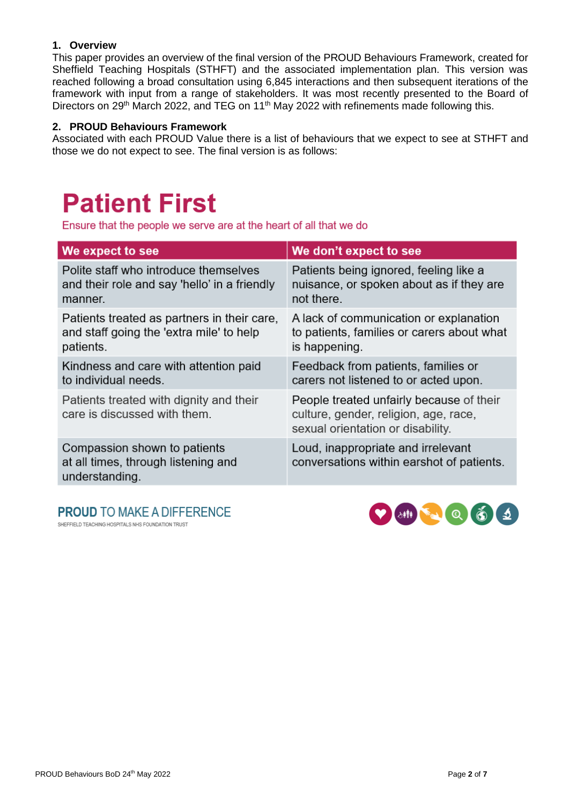## **1. Overview**

This paper provides an overview of the final version of the PROUD Behaviours Framework, created for Sheffield Teaching Hospitals (STHFT) and the associated implementation plan. This version was reached following a broad consultation using 6,845 interactions and then subsequent iterations of the framework with input from a range of stakeholders. It was most recently presented to the Board of Directors on 29<sup>th</sup> March 2022, and TEG on 11<sup>th</sup> May 2022 with refinements made following this.

## **2. PROUD Behaviours Framework**

Associated with each PROUD Value there is a list of behaviours that we expect to see at STHFT and those we do not expect to see. The final version is as follows:

## **Patient First**

Ensure that the people we serve are at the heart of all that we do

| We expect to see                                                                      | We don't expect to see                                                                                                 |
|---------------------------------------------------------------------------------------|------------------------------------------------------------------------------------------------------------------------|
| Polite staff who introduce themselves                                                 | Patients being ignored, feeling like a                                                                                 |
| and their role and say 'hello' in a friendly                                          | nuisance, or spoken about as if they are                                                                               |
| manner.                                                                               | not there.                                                                                                             |
| Patients treated as partners in their care,                                           | A lack of communication or explanation                                                                                 |
| and staff going the 'extra mile' to help                                              | to patients, families or carers about what                                                                             |
| patients.                                                                             | is happening.                                                                                                          |
| Kindness and care with attention paid                                                 | Feedback from patients, families or                                                                                    |
| to individual needs.                                                                  | carers not listened to or acted upon.                                                                                  |
| Patients treated with dignity and their<br>care is discussed with them.               | People treated unfairly because of their<br>culture, gender, religion, age, race,<br>sexual orientation or disability. |
| Compassion shown to patients<br>at all times, through listening and<br>understanding. | Loud, inappropriate and irrelevant<br>conversations within earshot of patients.                                        |

**PROUD TO MAKE A DIFFERENCE** SHEFFIELD TEACHING HOSPITALS NHS FOUNDATION TRUST

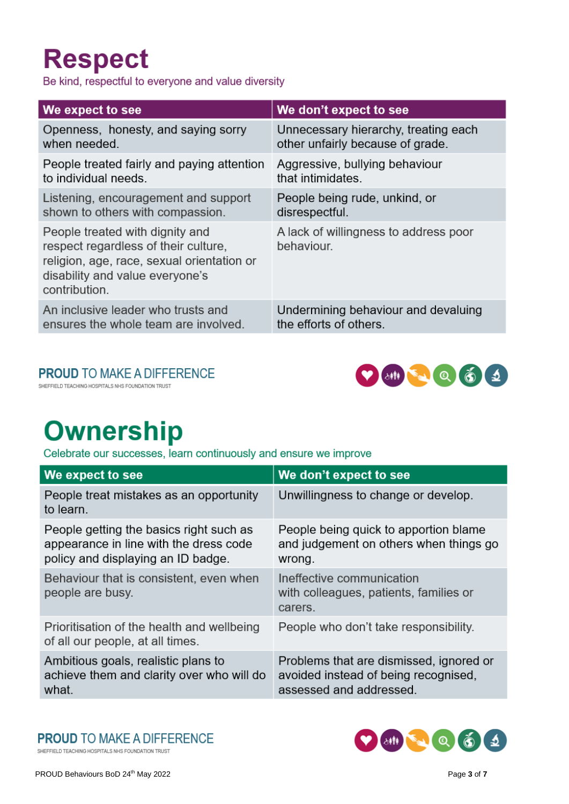## **Respect**

Be kind, respectful to everyone and value diversity

| We expect to see                                                                                                                                                          | We don't expect to see                              |
|---------------------------------------------------------------------------------------------------------------------------------------------------------------------------|-----------------------------------------------------|
| Openness, honesty, and saying sorry                                                                                                                                       | Unnecessary hierarchy, treating each                |
| when needed.                                                                                                                                                              | other unfairly because of grade.                    |
| People treated fairly and paying attention                                                                                                                                | Aggressive, bullying behaviour                      |
| to individual needs.                                                                                                                                                      | that intimidates.                                   |
| Listening, encouragement and support                                                                                                                                      | People being rude, unkind, or                       |
| shown to others with compassion.                                                                                                                                          | disrespectful.                                      |
| People treated with dignity and<br>respect regardless of their culture,<br>religion, age, race, sexual orientation or<br>disability and value everyone's<br>contribution. | A lack of willingness to address poor<br>behaviour. |
| An inclusive leader who trusts and                                                                                                                                        | Undermining behaviour and devaluing                 |
| ensures the whole team are involved.                                                                                                                                      | the efforts of others.                              |

## **PROUD TO MAKE A DIFFERENCE**

SHEFFIELD TEACHING HOSPITALS NHS FOUNDATION TRUST



## **Ownership**

Celebrate our successes, learn continuously and ensure we improve

| We expect to see                                                                                                        | We don't expect to see                                                                                     |
|-------------------------------------------------------------------------------------------------------------------------|------------------------------------------------------------------------------------------------------------|
| People treat mistakes as an opportunity<br>to learn.                                                                    | Unwillingness to change or develop.                                                                        |
| People getting the basics right such as<br>appearance in line with the dress code<br>policy and displaying an ID badge. | People being quick to apportion blame<br>and judgement on others when things go<br>wrong.                  |
| Behaviour that is consistent, even when<br>people are busy.                                                             | Ineffective communication<br>with colleagues, patients, families or<br>carers.                             |
| Prioritisation of the health and wellbeing<br>of all our people, at all times.                                          | People who don't take responsibility.                                                                      |
| Ambitious goals, realistic plans to<br>achieve them and clarity over who will do<br>what.                               | Problems that are dismissed, ignored or<br>avoided instead of being recognised,<br>assessed and addressed. |

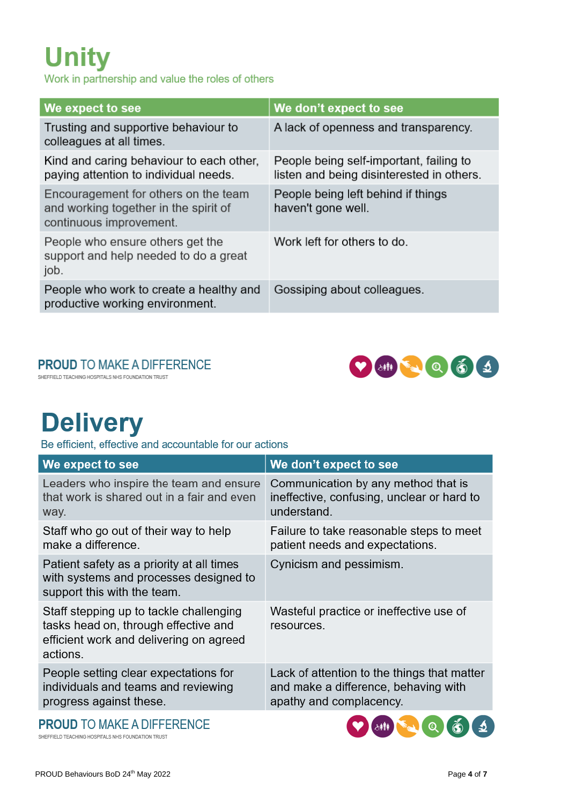# **Unity**

Work in partnership and value the roles of others

| We expect to see                                                                                         | We don't expect to see                                                               |
|----------------------------------------------------------------------------------------------------------|--------------------------------------------------------------------------------------|
| Trusting and supportive behaviour to<br>colleagues at all times.                                         | A lack of openness and transparency.                                                 |
| Kind and caring behaviour to each other,<br>paying attention to individual needs.                        | People being self-important, failing to<br>listen and being disinterested in others. |
| Encouragement for others on the team<br>and working together in the spirit of<br>continuous improvement. | People being left behind if things<br>haven't gone well.                             |
| People who ensure others get the<br>support and help needed to do a great<br>job.                        | Work left for others to do.                                                          |
| People who work to create a healthy and<br>productive working environment.                               | Gossiping about colleagues.                                                          |

## **PROUD TO MAKE A DIFFERENCE**

SHEFFIELD TEACHING HOSPITALS NHS FOUNDATION TRUST



## **Delivery**

Be efficient, effective and accountable for our actions

| We expect to see                                                                                                                       | We don't expect to see                                                                                         |
|----------------------------------------------------------------------------------------------------------------------------------------|----------------------------------------------------------------------------------------------------------------|
| Leaders who inspire the team and ensure<br>that work is shared out in a fair and even<br>way.                                          | Communication by any method that is<br>ineffective, confusing, unclear or hard to<br>understand.               |
| Staff who go out of their way to help<br>make a difference.                                                                            | Failure to take reasonable steps to meet<br>patient needs and expectations.                                    |
| Patient safety as a priority at all times<br>with systems and processes designed to<br>support this with the team.                     | Cynicism and pessimism.                                                                                        |
| Staff stepping up to tackle challenging<br>tasks head on, through effective and<br>efficient work and delivering on agreed<br>actions. | Wasteful practice or ineffective use of<br>resources.                                                          |
| People setting clear expectations for<br>individuals and teams and reviewing<br>progress against these.                                | Lack of attention to the things that matter<br>and make a difference, behaving with<br>apathy and complacency. |
|                                                                                                                                        |                                                                                                                |

**PROUD TO MAKE A DIFFERENCE** 

SHEFFIELD TEACHING HOSPITALS NHS FOUNDATION TRUST

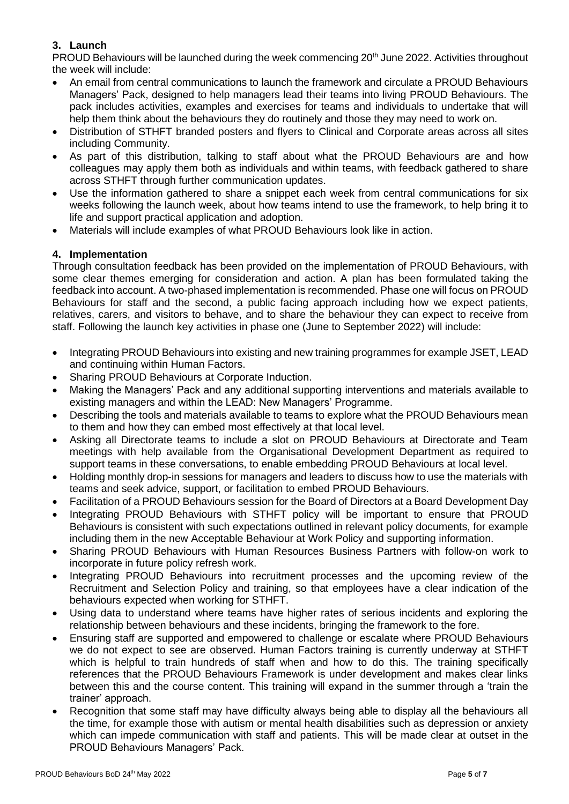## **3. Launch**

PROUD Behaviours will be launched during the week commencing 20<sup>th</sup> June 2022. Activities throughout the week will include:

- An email from central communications to launch the framework and circulate a PROUD Behaviours Managers' Pack, designed to help managers lead their teams into living PROUD Behaviours. The pack includes activities, examples and exercises for teams and individuals to undertake that will help them think about the behaviours they do routinely and those they may need to work on.
- Distribution of STHFT branded posters and flyers to Clinical and Corporate areas across all sites including Community.
- As part of this distribution, talking to staff about what the PROUD Behaviours are and how colleagues may apply them both as individuals and within teams, with feedback gathered to share across STHFT through further communication updates.
- Use the information gathered to share a snippet each week from central communications for six weeks following the launch week, about how teams intend to use the framework, to help bring it to life and support practical application and adoption.
- Materials will include examples of what PROUD Behaviours look like in action.

## **4. Implementation**

Through consultation feedback has been provided on the implementation of PROUD Behaviours, with some clear themes emerging for consideration and action. A plan has been formulated taking the feedback into account. A two-phased implementation is recommended. Phase one will focus on PROUD Behaviours for staff and the second, a public facing approach including how we expect patients, relatives, carers, and visitors to behave, and to share the behaviour they can expect to receive from staff. Following the launch key activities in phase one (June to September 2022) will include:

- Integrating PROUD Behaviours into existing and new training programmes for example JSET, LEAD and continuing within Human Factors.
- Sharing PROUD Behaviours at Corporate Induction.
- Making the Managers' Pack and any additional supporting interventions and materials available to existing managers and within the LEAD: New Managers' Programme.
- Describing the tools and materials available to teams to explore what the PROUD Behaviours mean to them and how they can embed most effectively at that local level.
- Asking all Directorate teams to include a slot on PROUD Behaviours at Directorate and Team meetings with help available from the Organisational Development Department as required to support teams in these conversations, to enable embedding PROUD Behaviours at local level.
- Holding monthly drop-in sessions for managers and leaders to discuss how to use the materials with teams and seek advice, support, or facilitation to embed PROUD Behaviours.
- Facilitation of a PROUD Behaviours session for the Board of Directors at a Board Development Day
- Integrating PROUD Behaviours with STHFT policy will be important to ensure that PROUD Behaviours is consistent with such expectations outlined in relevant policy documents, for example including them in the new Acceptable Behaviour at Work Policy and supporting information.
- Sharing PROUD Behaviours with Human Resources Business Partners with follow-on work to incorporate in future policy refresh work.
- Integrating PROUD Behaviours into recruitment processes and the upcoming review of the Recruitment and Selection Policy and training, so that employees have a clear indication of the behaviours expected when working for STHFT.
- Using data to understand where teams have higher rates of serious incidents and exploring the relationship between behaviours and these incidents, bringing the framework to the fore.
- Ensuring staff are supported and empowered to challenge or escalate where PROUD Behaviours we do not expect to see are observed. Human Factors training is currently underway at STHFT which is helpful to train hundreds of staff when and how to do this. The training specifically references that the PROUD Behaviours Framework is under development and makes clear links between this and the course content. This training will expand in the summer through a 'train the trainer' approach.
- Recognition that some staff may have difficulty always being able to display all the behaviours all the time, for example those with autism or mental health disabilities such as depression or anxiety which can impede communication with staff and patients. This will be made clear at outset in the PROUD Behaviours Managers' Pack.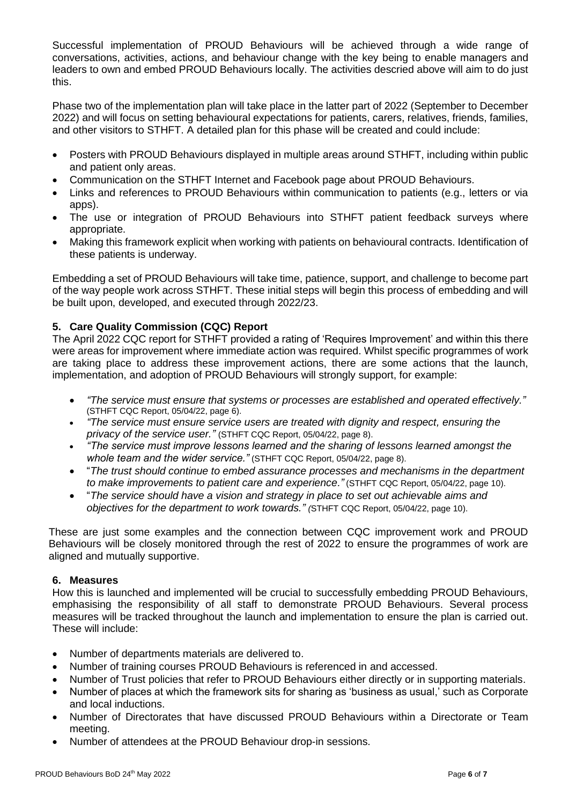Successful implementation of PROUD Behaviours will be achieved through a wide range of conversations, activities, actions, and behaviour change with the key being to enable managers and leaders to own and embed PROUD Behaviours locally. The activities descried above will aim to do just this.

Phase two of the implementation plan will take place in the latter part of 2022 (September to December 2022) and will focus on setting behavioural expectations for patients, carers, relatives, friends, families, and other visitors to STHFT. A detailed plan for this phase will be created and could include:

- Posters with PROUD Behaviours displayed in multiple areas around STHFT, including within public and patient only areas.
- Communication on the STHFT Internet and Facebook page about PROUD Behaviours.
- Links and references to PROUD Behaviours within communication to patients (e.g., letters or via apps).
- The use or integration of PROUD Behaviours into STHFT patient feedback surveys where appropriate.
- Making this framework explicit when working with patients on behavioural contracts. Identification of these patients is underway.

Embedding a set of PROUD Behaviours will take time, patience, support, and challenge to become part of the way people work across STHFT. These initial steps will begin this process of embedding and will be built upon, developed, and executed through 2022/23.

## **5. Care Quality Commission (CQC) Report**

The April 2022 CQC report for STHFT provided a rating of 'Requires Improvement' and within this there were areas for improvement where immediate action was required. Whilst specific programmes of work are taking place to address these improvement actions, there are some actions that the launch, implementation, and adoption of PROUD Behaviours will strongly support, for example:

- *"The service must ensure that systems or processes are established and operated effectively."* (STHFT CQC Report, 05/04/22, page 6).
- *"The service must ensure service users are treated with dignity and respect, ensuring the privacy of the service user."* (STHFT CQC Report, 05/04/22, page 8).
- *"The service must improve lessons learned and the sharing of lessons learned amongst the whole team and the wider service."* (STHFT CQC Report, 05/04/22, page 8).
- "*The trust should continue to embed assurance processes and mechanisms in the department to make improvements to patient care and experience."* (STHFT CQC Report, 05/04/22, page 10).
- "*The service should have a vision and strategy in place to set out achievable aims and objectives for the department to work towards." (*STHFT CQC Report, 05/04/22, page 10).

These are just some examples and the connection between CQC improvement work and PROUD Behaviours will be closely monitored through the rest of 2022 to ensure the programmes of work are aligned and mutually supportive.

## **6. Measures**

How this is launched and implemented will be crucial to successfully embedding PROUD Behaviours, emphasising the responsibility of all staff to demonstrate PROUD Behaviours. Several process measures will be tracked throughout the launch and implementation to ensure the plan is carried out. These will include:

- Number of departments materials are delivered to.
- Number of training courses PROUD Behaviours is referenced in and accessed.
- Number of Trust policies that refer to PROUD Behaviours either directly or in supporting materials.
- Number of places at which the framework sits for sharing as 'business as usual,' such as Corporate and local inductions.
- Number of Directorates that have discussed PROUD Behaviours within a Directorate or Team meeting.
- Number of attendees at the PROUD Behaviour drop-in sessions.